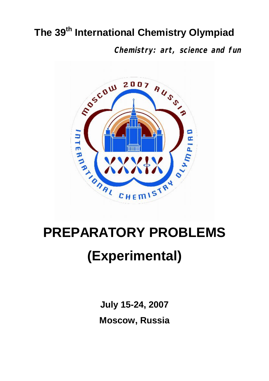# **The 39th International Chemistry Olympiad**

**Chemistry: art, science and fun**



# **(Experimental)**

**July 15-24, 2007 Moscow, Russia**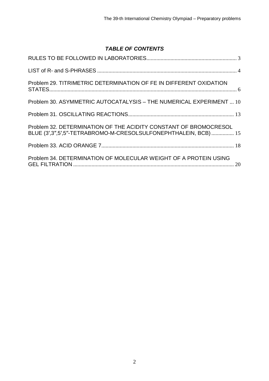# *TABLE OF CONTENTS*

| Problem 29. TITRIMETRIC DETERMINATION OF FE IN DIFFERENT OXIDATION                                                                     |  |
|----------------------------------------------------------------------------------------------------------------------------------------|--|
| Problem 30. ASYMMETRIC AUTOCATALYSIS - THE NUMERICAL EXPERIMENT  10                                                                    |  |
|                                                                                                                                        |  |
| Problem 32. DETERMINATION OF THE ACIDITY CONSTANT OF BROMOCRESOL<br>BLUE (3', 3", 5', 5"-TETRABROMO-M-CRESOLSULFONEPHTHALEIN, BCB)  15 |  |
|                                                                                                                                        |  |
| Problem 34, DETERMINATION OF MOLECULAR WEIGHT OF A PROTEIN USING                                                                       |  |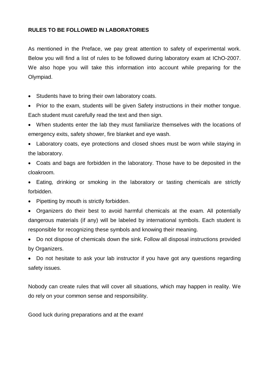# <span id="page-2-0"></span>**RULES TO BE FOLLOWED IN LABORATORIES**

As mentioned in the Preface, we pay great attention to safety of experimental work. Below you will find a list of rules to be followed during laboratory exam at IChO-2007. We also hope you will take this information into account while preparing for the Olympiad.

· Students have to bring their own laboratory coats.

• Prior to the exam, students will be given Safety instructions in their mother tongue. Each student must carefully read the text and then sign.

· When students enter the lab they must familiarize themselves with the locations of emergency exits, safety shower, fire blanket and eye wash.

· Laboratory coats, eye protections and closed shoes must be worn while staying in the laboratory.

· Coats and bags are forbidden in the laboratory. Those have to be deposited in the cloakroom.

· Eating, drinking or smoking in the laboratory or tasting chemicals are strictly forbidden.

• Pipetting by mouth is strictly forbidden.

· Organizers do their best to avoid harmful chemicals at the exam. All potentially dangerous materials (if any) will be labeled by international symbols. Each student is responsible for recognizing these symbols and knowing their meaning.

· Do not dispose of chemicals down the sink. Follow all disposal instructions provided by Organizers.

· Do not hesitate to ask your lab instructor if you have got any questions regarding safety issues.

Nobody can create rules that will cover all situations, which may happen in reality. We do rely on your common sense and responsibility.

Good luck during preparations and at the exam!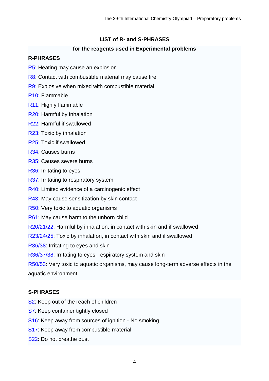# <span id="page-3-0"></span>**LIST of R- and S-PHRASES**

# **for the reagents used in Experimental problems**

# **R-PHRASES**

- R5: Heating may cause an explosion
- R8: Contact with combustible material may cause fire
- R9: Explosive when mixed with combustible material
- R10: Flammable
- R11: Highly flammable
- R20: Harmful by inhalation
- R22: Harmful if swallowed
- R23: Toxic by inhalation
- R25: Toxic if swallowed
- R34: Causes burns
- R35: Causes severe burns
- R36: Irritating to eyes
- R37: Irritating to respiratory system
- R40: Limited evidence of a carcinogenic effect
- R43: May cause sensitization by skin contact
- R50: Very toxic to aquatic organisms
- R61: May cause harm to the unborn child
- R20/21/22: Harmful by inhalation, in contact with skin and if swallowed
- R23/24/25: Toxic by inhalation, in contact with skin and if swallowed
- R36/38: Irritating to eyes and skin
- R36/37/38: Irritating to eyes, respiratory system and skin
- R50/53: Very toxic to aquatic organisms, may cause long-term adverse effects in the aquatic environment

# **S-PHRASES**

- S<sub>2</sub>: Keep out of the reach of children
- S7: Keep container tightly closed
- S16: Keep away from sources of ignition No smoking
- S17: Keep away from combustible material
- S22: Do not breathe dust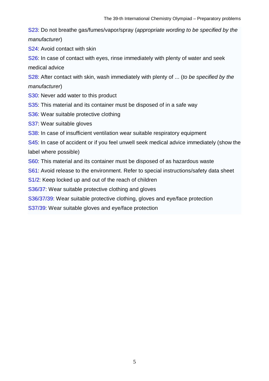S23: Do not breathe gas/fumes/vapor/spray (*appropriate wording to be specified by the manufacturer*)

S24: Avoid contact with skin

S26: In case of contact with eyes, rinse immediately with plenty of water and seek medical advice

S28: After contact with skin, wash immediately with plenty of ... (*to be specified by the manufacturer*)

- S30: Never add water to this product
- S35: This material and its container must be disposed of in a safe way
- S36: Wear suitable protective clothing
- S37: Wear suitable gloves
- S38: In case of insufficient ventilation wear suitable respiratory equipment

S45: In case of accident or if you feel unwell seek medical advice immediately (show the label where possible)

S60: This material and its container must be disposed of as hazardous waste

S61: Avoid release to the environment. Refer to special instructions/safety data sheet

S1/2: Keep locked up and out of the reach of children

S36/37: Wear suitable protective clothing and gloves

S36/37/39: Wear suitable protective clothing, gloves and eye/face protection

S37/39: Wear suitable gloves and eye/face protection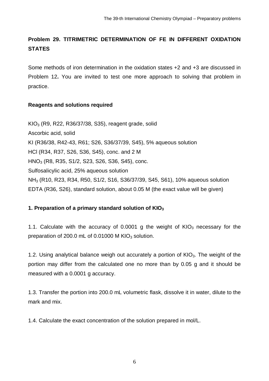# <span id="page-5-0"></span>**Problem 29. TITRIMETRIC DETERMINATION OF FE IN DIFFERENT OXIDATION STATES**

Some methods of iron determination in the oxidation states +2 and +3 are discussed in Problem 12**.** You are invited to test one more approach to solving that problem in practice.

# **Reagents and solutions required**

KIO3 (R9, R22, R36/37/38, S35), reagent grade, solid Ascorbic acid, solid KI (R36/38, R42-43, R61; S26, S36/37/39, S45), 5% aqueous solution HCl (R34, R37, S26, S36, S45), conc. and 2 M HNO3 (R8, R35, S1/2, S23, S26, S36, S45), conc. Sulfosalicylic acid, 25% aqueous solution NH3 (R10, R23, R34, R50, [S](http://en.wikipedia.org/wiki/List_of_S-phrases)1/2, S16, S36/37/39, S45, S61), 10% aqueous solution EDTA (R36, S26), standard solution, about 0.05 M (the exact value will be given)

# **1. Preparation of a primary standard solution of KIO<sup>3</sup>**

1.1. Calculate with the accuracy of 0.0001 g the weight of  $KIO<sub>3</sub>$  necessary for the preparation of 200.0 mL of 0.01000 M  $KIO<sub>3</sub>$  solution.

1.2. Using analytical balance weigh out accurately a portion of  $KIO<sub>3</sub>$ . The weight of the portion may differ from the calculated one no more than by 0.05 g and it should be measured with a 0.0001 g accuracy.

1.3. Transfer the portion into 200.0 mL volumetric flask, dissolve it in water, dilute to the mark and mix.

1.4. Calculate the exact concentration of the solution prepared in mol/L.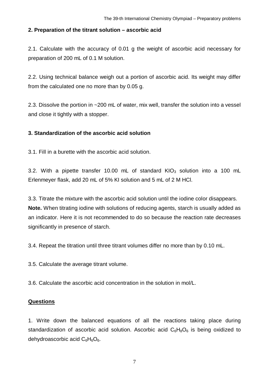# **2. Preparation of the titrant solution – ascorbic acid**

2.1. Calculate with the accuracy of 0.01 g the weight of ascorbic acid necessary for preparation of 200 mL of 0.1 M solution.

2.2. Using technical balance weigh out a portion of ascorbic acid. Its weight may differ from the calculated one no more than by 0.05 g.

2.3. Dissolve the portion in ~200 mL of water, mix well, transfer the solution into a vessel and close it tightly with a stopper.

# **3. Standardization of the ascorbic acid solution**

3.1. Fill in a burette with the ascorbic acid solution.

3.2. With a pipette transfer 10.00 mL of standard  $KIO<sub>3</sub>$  solution into a 100 mL Erlenmeyer flask, add 20 mL of 5% KI solution and 5 mL of 2 M HCl.

3.3. Titrate the mixture with the ascorbic acid solution until the iodine color disappears. **Note.** When titrating iodine with solutions of reducing agents, starch is usually added as an indicator. Here it is not recommended to do so because the reaction rate decreases significantly in presence of starch.

3.4. Repeat the titration until three titrant volumes differ no more than by 0.10 mL.

3.5. Calculate the average titrant volume.

3.6. Calculate the ascorbic acid concentration in the solution in mol/L.

# **Questions**

1. Write down the balanced equations of all the reactions taking place during standardization of ascorbic acid solution. Ascorbic acid  $C_6H_8O_6$  is being oxidized to dehydroascorbic acid  $C_6H_6O_6$ .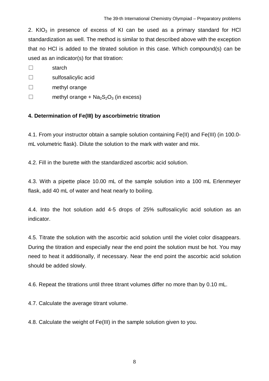2. KIO<sub>3</sub> in presence of excess of KI can be used as a primary standard for HCI standardization as well. The method is similar to that described above with the exception that no HCl is added to the titrated solution in this case. Which compound(s) can be used as an indicator(s) for that titration:

□ starch

□ sulfosalicylic acid

- □ methyl orange
- $\square$  methyl orange + Na<sub>2</sub>S<sub>2</sub>O<sub>3</sub> (in excess)

# **4. Determination of Fe(III) by ascorbimetric titration**

4.1. From your instructor obtain a sample solution containing Fe(II) and Fe(III) (in 100.0 mL volumetric flask). Dilute the solution to the mark with water and mix.

4.2. Fill in the burette with the standardized ascorbic acid solution.

4.3. With a pipette place 10.00 mL of the sample solution into a 100 mL Erlenmeyer flask, add 40 mL of water and heat nearly to boiling.

4.4. Into the hot solution add 4-5 drops of 25% sulfosalicylic acid solution as an indicator.

4.5. Titrate the solution with the ascorbic acid solution until the violet color disappears. During the titration and especially near the end point the solution must be hot. You may need to heat it additionally, if necessary. Near the end point the ascorbic acid solution should be added slowly.

4.6. Repeat the titrations until three titrant volumes differ no more than by 0.10 mL.

4.7. Calculate the average titrant volume.

4.8. Calculate the weight of Fe(III) in the sample solution given to you.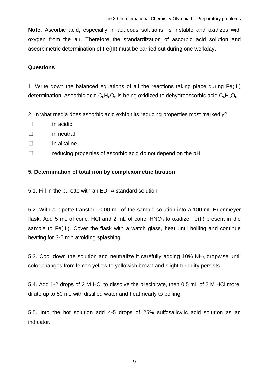**Note.** Ascorbic acid, especially in aqueous solutions, is instable and oxidizes with oxygen from the air. Therefore the standardization of ascorbic acid solution and ascorbimetric determination of Fe(III) must be carried out during one workday.

# **Questions**

1. Write down the balanced equations of all the reactions taking place during Fe(III) determination. Ascorbic acid  $C_6H_8O_6$  is being oxidized to dehydroascorbic acid  $C_6H_6O_6$ .

2. In what media does ascorbic acid exhibit its reducing properties most markedly?

- □ in acidic
- $\neg$  in neutral
- $\square$  in alkaline
- $\square$  reducing properties of ascorbic acid do not depend on the pH

# **5. Determination of total iron by complexometric titration**

5.1. Fill in the burette with an EDTA standard solution.

5.2. With a pipette transfer 10.00 mL of the sample solution into a 100 mL Erlenmeyer flask. Add 5 mL of conc. HCl and 2 mL of conc.  $HNO<sub>3</sub>$  to oxidize Fe(II) present in the sample to Fe(III). Cover the flask with a watch glass, heat until boiling and continue heating for 3-5 min avoiding splashing.

5.3. Cool down the solution and neutralize it carefully adding 10% NH3 dropwise until color changes from lemon yellow to yellowish brown and slight turbidity persists.

5.4. Add 1-2 drops of 2 M HCl to dissolve the precipitate, then 0.5 mL of 2 M HCl more, dilute up to 50 mL with distilled water and heat nearly to boiling.

5.5. Into the hot solution add 4-5 drops of 25% sulfosalicylic acid solution as an indicator.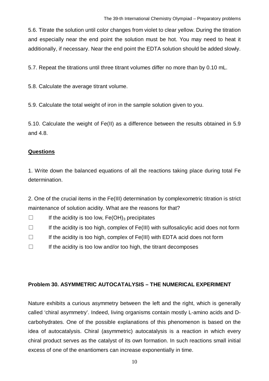5.6. Titrate the solution until color changes from violet to clear yellow. During the titration and especially near the end point the solution must be hot. You may need to heat it additionally, if necessary. Near the end point the EDTA solution should be added slowly.

5.7. Repeat the titrations until three titrant volumes differ no more than by 0.10 mL.

5.8. Calculate the average titrant volume.

5.9. Calculate the total weight of iron in the sample solution given to you.

5.10. Calculate the weight of Fe(II) as a difference between the results obtained in 5.9 and 4.8.

# **Questions**

1. Write down the balanced equations of all the reactions taking place during total Fe determination.

2. One of the crucial items in the Fe(III) determination by complexometric titration is strict maintenance of solution acidity. What are the reasons for that?

 $\square$  If the acidity is too low,  $Fe(OH)_3$  precipitates

- $\square$  If the acidity is too high, complex of Fe(III) with sulfosalicylic acid does not form
- $\Box$  If the acidity is too high, complex of Fe(III) with EDTA acid does not form
- $\Box$  If the acidity is too low and/or too high, the titrant decomposes

# <span id="page-9-0"></span>**Problem 30. ASYMMETRIC AUTOCATALYSIS – THE NUMERICAL EXPERIMENT**

Nature exhibits a curious asymmetry between the left and the right, which is generally called 'chiral asymmetry'. Indeed, living organisms contain mostly L-amino acids and Dcarbohydrates. One of the possible explanations of this phenomenon is based on the idea of autocatalysis. Chiral (asymmetric) autocatalysis is a reaction in which every chiral product serves as the catalyst of its own formation. In such reactions small initial excess of one of the enantiomers can increase exponentially in time.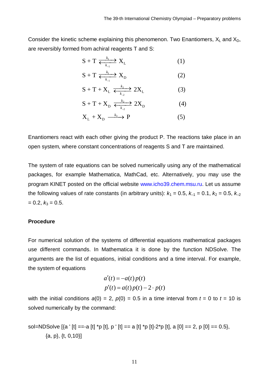Consider the kinetic scheme explaining this phenomenon. Two Enantiomers,  $X_L$  and  $X_D$ , are reversibly formed from achiral reagents T and S:

$$
S + T \xrightarrow[k_1]{} k_1 \qquad (1)
$$

$$
S + T \xrightarrow[k_1]{} X_D \tag{2}
$$

$$
S + T + X_L \xrightarrow[k_{2}]{k_2} 2X_L \tag{3}
$$

$$
S + T + X_D \xleftrightarrow{\underset{k_2}{\sum}} 2X_D \tag{4}
$$

$$
X_{L} + X_{D} \xrightarrow{k_{3}} P \tag{5}
$$

Enantiomers react with each other giving the product P. The reactions take place in an open system, where constant concentrations of reagents S and T are maintained.

The system of rate equations can be solved numerically using any of the mathematical packages, for example Mathematica, MathCad, etc. Alternatively, you may use the program KINET posted on the official website www.icho39.chem.msu.ru. Let us assume the following values of rate constants (in arbitrary units):  $k_1 = 0.5$ ,  $k_{-1} = 0.1$ ,  $k_2 = 0.5$ ,  $k_{-2}$  $= 0.2, k_3 = 0.5.$ 

#### **Procedure**

For numerical solution of the systems of differential equations mathematical packages use different commands. In Mathematica it is done by the function NDSolve. The arguments are the list of equations, initial conditions and a time interval. For example, the system of equations

$$
a'(t) = -a(t)p(t)
$$
  

$$
p'(t) = a(t)p(t) - 2 \cdot p(t)
$$

with the initial conditions  $a(0) = 2$ ,  $p(0) = 0.5$  in a time interval from  $t = 0$  to  $t = 10$  is solved numerically by the command:

sol=NDSolve  $[\{a \mid [t] == a [t] \mid p [t], p \mid [t] == a [t] \mid p [t] - 2 \mid p [t], a [0] == 2, p [0] == 0.5\},\]$ {a, p}, {t, 0,10}]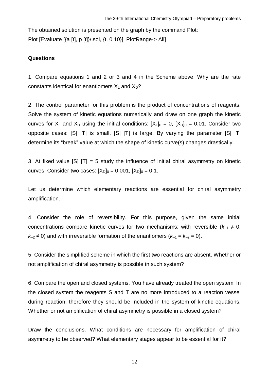The obtained solution is presented on the graph by the command Plot: Plot [Evaluate [{a [t], p [t]}/.sol, {t, 0,10}], PlotRange-> All]

# **Questions**

1. Compare equations 1 and 2 or 3 and 4 in the Scheme above. Why are the rate constants identical for enantiomers  $X_L$  and  $X_D$ ?

2. The control parameter for this problem is the product of concentrations of reagents. Solve the system of kinetic equations numerically and draw on one graph the kinetic curves for  $X_L$  and  $X_D$  using the initial conditions:  $[X_L]_0 = 0$ ,  $[X_D]_0 = 0.01$ . Consider two opposite cases: [S] [T] is small, [S] [T] is large. By varying the parameter [S] [T] determine its "break" value at which the shape of kinetic curve(s) changes drastically.

3. At fixed value  $[SI]$   $[T] = 5$  study the influence of initial chiral asymmetry on kinetic curves. Consider two cases:  $[X_D]_0 = 0.001$ ,  $[X_D]_0 = 0.1$ .

Let us determine which elementary reactions are essential for chiral asymmetry amplification.

4. Consider the role of reversibility. For this purpose, given the same initial concentrations compare kinetic curves for two mechanisms: with reversible  $(k_{-1} \neq 0)$ ;  $k_2 \neq 0$ ) and with irreversible formation of the enantiomers ( $k_1 = k_2 = 0$ ).

5. Consider the simplified scheme in which the first two reactions are absent. Whether or not amplification of chiral asymmetry is possible in such system?

6. Compare the open and closed systems. You have already treated the open system. In the closed system the reagents S and T are no more introduced to a reaction vessel during reaction, therefore they should be included in the system of kinetic equations. Whether or not amplification of chiral asymmetry is possible in a closed system?

Draw the conclusions. What conditions are necessary for amplification of chiral asymmetry to be observed? What elementary stages appear to be essential for it?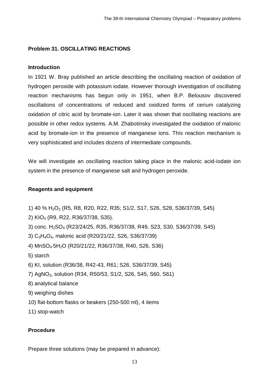# <span id="page-12-0"></span>**Problem 31. OSCILLATING REACTIONS**

# **Introduction**

In 1921 W. Bray published an article describing the oscillating reaction of oxidation of hydrogen peroxide with potassium iodate. However thorough investigation of oscillating reaction mechanisms has begun only in 1951, when B.P. Belousov discovered oscillations of concentrations of reduced and oxidized forms of cerium catalyzing oxidation of citric acid by bromate-ion. Later it was shown that oscillating reactions are possible in other redox systems. A.M. Zhabotinsky investigated the oxidation of malonic acid by bromate-ion in the presence of manganese ions. This reaction mechanism is very sophisticated and includes dozens of intermediate compounds.

We will investigate an oscillating reaction taking place in the malonic acid-iodate ion system in the presence of manganese salt and hydrogen peroxide.

# **Reagents and equipment**

- 1) 40 % H2O2 (R5, R8, R20, R22, R35; S1/2, S17, S26, S28, S36/37/39, S45)
- 2) KIO3 (R9, R22, R36/37/38, S35).
- 3) conc. H2SO4 (R23/24/25, R35, R36/37/38, R49, S23, S30, S36/37/39, S45)
- 3) C3H4O4, malonic acid (R20/21/22, S26, S36/37/39)
- 4) MnSO4×5H2O (R20/21/22, R36/37/38, R40, S26, S36)
- 5) starch
- 6) KI, solution (R36/38, R42-43, R61; S26, S36/37/39, S45)
- 7) AgNO3, solution (R34, R50/53, S1/2, S26, S45, S60, S61)
- 8) analytical balance
- 9) weighing dishes
- 10) flat-bottom flasks or beakers (250-500 ml), 4 items
- 11) stop-watch

# **Procedure**

Prepare three solutions (may be prepared in advance):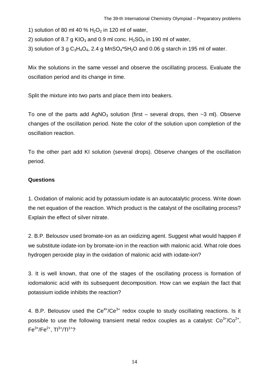1) solution of 80 ml 40 %  $H_2O_2$  in 120 ml of water,

2) solution of 8.7 g KIO<sub>3</sub> and 0.9 ml conc. H<sub>2</sub>SO<sub>4</sub> in 190 ml of water,

3) solution of 3 g  $C_3H_4O_4$ , 2.4 g MnS $O_4$ \*5H<sub>2</sub>O and 0.06 g starch in 195 ml of water.

Mix the solutions in the same vessel and observe the oscillating process. Evaluate the oscillation period and its change in time.

Split the mixture into two parts and place them into beakers.

To one of the parts add AgNO<sub>3</sub> solution (first – several drops, then  $\sim$ 3 ml). Observe changes of the oscillation period. Note the color of the solution upon completion of the oscillation reaction.

To the other part add KI solution (several drops). Observe changes of the oscillation period.

# **Questions**

1. Oxidation of malonic acid by potassium iodate is an autocatalytic process. Write down the net equation of the reaction. Which product is the catalyst of the oscillating process? Explain the effect of silver nitrate.

2. B.P. Belousov used bromate-ion as an oxidizing agent. Suggest what would happen if we substitute iodate-ion by bromate-ion in the reaction with malonic acid. What role does hydrogen peroxide play in the oxidation of malonic acid with iodate-ion?

3. It is well known, that one of the stages of the oscillating process is formation of iodomalonic acid with its subsequent decomposition. How can we explain the fact that potassium iodide inhibits the reaction?

4. B.P. Belousov used the  $Ce^{4+}/Ce^{3+}$  redox couple to study oscillating reactions. Is it possible to use the following transient metal redox couples as a catalyst:  $Co^{3+}/Co^{2+}$ ,  $Fe^{3+}/Fe^{2+}$ , T $|^{3+}/T|^{1+}$ ?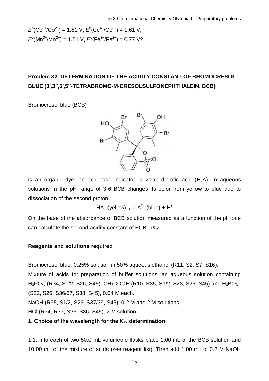$$
E^{o}(Co^{3+}/Co^{2+}) = 1.81 \text{ V}, E^{o}(Ce^{4+}/Ce^{3+}) = 1.61 \text{ V},
$$
  

$$
E^{o}(Mn^{3+}/Mn^{2+}) = 1.51 \text{ V}, E^{o}(Fe^{3+}/Fe^{2+}) = 0.77 \text{ V}?
$$

# <span id="page-14-0"></span>**Problem 32. DETERMINATION OF THE ACIDITY CONSTANT OF BROMOCRESOL BLUE (3′,3′′,5′,5′′-TETRABROMO-M-CRESOLSULFONEPHTHALEIN, BCB)**

Bromocresol blue (BCB)



is an organic dye, an acid-base indicator, a weak diprotic acid  $(H_2A)$ . In aqueous solutions in the pH range of 3-6 BCB changes its color from yellow to blue due to dissociation of the second proton:

HA<sup>–</sup> (yellow)  $\rightleftarrows$  A<sup>2–</sup> (blue) + H<sup>+</sup>

On the base of the absorbance of BCB solution measured as a function of the pH one can calculate the second acidity constant of BCB, p*Ka*2.

# **Reagents and solutions required**

Bromocresol blue, 0.25% solution in 50% aqueous ethanol (R11, S2, S7, S16).

Mixture of acids for preparation of buffer solutions: an aqueous solution containing  $H_3PO_4$ , (R34, S1/2, S26, S45), CH<sub>3</sub>COOH (R10, R35, S1/2, S23, S26, S45) and H<sub>3</sub>BO<sub>3</sub>, (S22, S26, S36/37, S38, S45), 0.04 M each.

NaOH (R35, S1/2, S26, S37/39, S45), 0.2 M and 2 M solutions.

HCl (R34, R37, S26, S36, S45), 2 M solution.

# **1. Choice of the wavelength for the** *Ka***2 determination**

1.1. Into each of two 50.0 mL volumetric flasks place 1.00 mL of the BCB solution and 10.00 mL of the mixture of acids (see reagent list). Then add 1.00 mL of 0.2 M NaOH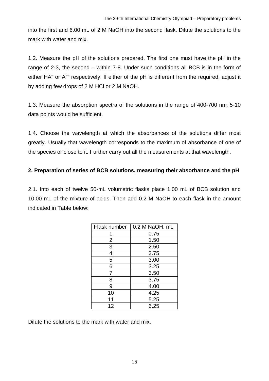into the first and 6.00 mL of 2 M NaOH into the second flask. Dilute the solutions to the mark with water and mix.

1.2. Measure the pH of the solutions prepared. The first one must have the pH in the range of 2-3, the second – within 7-8. Under such conditions all BCB is in the form of either HA<sup>-</sup> or A<sup>2-</sup> respectively. If either of the pH is different from the required, adjust it by adding few drops of 2 M HCl or 2 M NaOH.

1.3. Measure the absorption spectra of the solutions in the range of 400-700 nm; 5-10 data points would be sufficient.

1.4. Choose the wavelength at which the absorbances of the solutions differ most greatly. Usually that wavelength corresponds to the maximum of absorbance of one of the species or close to it. Further carry out all the measurements at that wavelength.

# **2. Preparation of series of BCB solutions, measuring their absorbance and the pH**

2.1. Into each of twelve 50-mL volumetric flasks place 1.00 mL of BCB solution and 10.00 mL of the mixture of acids. Then add 0.2 M NaOH to each flask in the amount indicated in Table below:

| Flask number   | 0,2 M NaOH, mL |  |  |
|----------------|----------------|--|--|
|                | 0.75           |  |  |
| $\overline{2}$ | 1.50           |  |  |
| 3              | 2.50           |  |  |
| 4              | 2.75           |  |  |
| 5              | 3.00           |  |  |
| 6              | 3.25           |  |  |
| 7              | 3.50           |  |  |
| 8              | 3.75           |  |  |
| 9              | 4.00           |  |  |
| 10             | 4.25           |  |  |
| 11             | 5.25           |  |  |
| 12             | 6.25           |  |  |

Dilute the solutions to the mark with water and mix.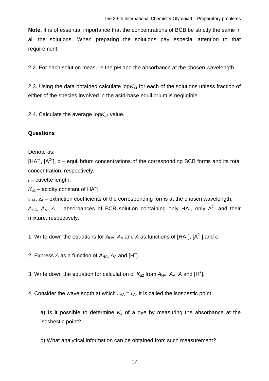**Note.** It is of essential importance that the concentrations of BCB be strictly the same in all the solutions. When preparing the solutions pay especial attention to that requirement!

2.2. For each solution measure the pH and the absorbance at the chosen wavelength.

2.3. Using the data obtained calculate log*Ka*2 for each of the solutions unless fraction of either of the species involved in the acid-base equilibrium is negligible.

2.4. Calculate the average  $logK_{a2}$  value.

# **Questions**

Denote as:

[HA<sup>-</sup>],  $[A^{2}$ <sup>-</sup>],  $c$  – equilibrium concentrations of the corresponding BCB forms and its total concentration, respectively;

*l* – cuvette length;

 $K_{a2}$  – acidity constant of HA<sup>-</sup>;

 $\varepsilon_{HA}$ ,  $\varepsilon_A$  – extinction coefficients of the corresponding forms at the chosen wavelength;  $A_{HA}$ ,  $A_A$ ,  $A$  – absorbances of BCB solution containing only HA<sup>-</sup>, only A<sup>2-</sup> and their mixture, respectively.

1. Write down the equations for  $A_{HA}$ ,  $A_A$  and  $A$  as functions of [HA<sup>-</sup>], [A<sup>2-</sup>] and *c*.

2. Express A as a function of  $A_{HA}$ ,  $A_A$  and [H<sup>+</sup>].

3. Write down the equation for calculation of  $K_{a2}$  from  $A_{HA}$ ,  $A_A$ , A and [H<sup>+</sup>].

4. Consider the wavelength at which  $\varepsilon_{HA} = \varepsilon_A$ . It is called the isosbestic point.

a) Is it possible to determine  $K_a$  of a dye by measuring the absorbance at the isosbestic point?

b) What analytical information can be obtained from such measurement?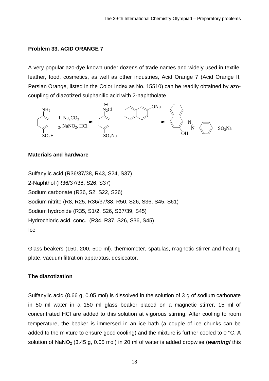# <span id="page-17-0"></span>**Problem 33. ACID ORANGE 7**

A very popular azo-dye known under dozens of trade names and widely used in textile, leather, food, cosmetics, as well as other industries, Acid Orange 7 (Acid Orange II, Persian Orange, listed in the Color Index as No. 15510) can be readily obtained by azocoupling of diazotized sulphanilic acid with 2-naphtholate



#### **Materials and hardware**

Sulfanylic acid (R36/37/38, R43, S24, S37) 2-Naphthol (R36/37/38, S26, S37) Sodium carbonate (R36, S2, S22, S26) Sodium nitrite (R8, R25, R36/37/38, R50, S26, S36, S45, S61) Sodium hydroxide (R35, S1/2, S26, S37/39, S45) Hydrochloric acid, conc. (R34, R37, S26, S36, S45) Ice

Glass beakers (150, 200, 500 ml), thermometer, spatulas, magnetic stirrer and heating plate, vacuum filtration apparatus, desiccator.

# **The diazotization**

Sulfanylic acid (8.66 g, 0.05 mol) is dissolved in the solution of 3 g of sodium carbonate in 50 ml water in a 150 ml glass beaker placed on a magnetic stirrer. 15 ml of concentrated HCl are added to this solution at vigorous stirring. After cooling to room temperature, the beaker is immersed in an ice bath (a couple of ice chunks can be added to the mixture to ensure good cooling) and the mixture is further cooled to 0 °C. A solution of NaNO<sub>2</sub> (3.45 g, 0.05 mol) in 20 ml of water is added dropwise (*warning!* this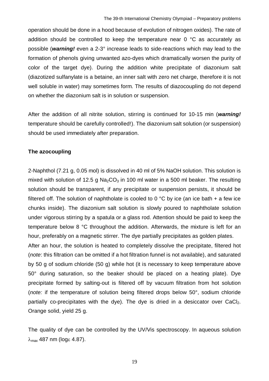operation should be done in a hood because of evolution of nitrogen oxides). The rate of addition should be controlled to keep the temperature near 0 °C as accurately as possible (*warning!* even a 2-3° increase leads to side-reactions which may lead to the formation of phenols giving unwanted azo-dyes which dramatically worsen the purity of color of the target dye). During the addition white precipitate of diazonium salt (diazotized sulfanylate is a betaine, an inner salt with zero net charge, therefore it is not well soluble in water) may sometimes form. The results of diazocoupling do not depend on whether the diazonium salt is in solution or suspension.

After the addition of all nitrite solution, stirring is continued for 10-15 min (*warning!* temperature should be carefully controlled!). The diazonium salt solution (or suspension) should be used immediately after preparation.

#### **The azocoupling**

2-Naphthol (7.21 g, 0.05 mol) is dissolved in 40 ml of 5% NaOH solution. This solution is mixed with solution of 12.5 g  $Na<sub>2</sub>CO<sub>3</sub>$  in 100 ml water in a 500 ml beaker. The resulting solution should be transparent, if any precipitate or suspension persists, it should be filtered off. The solution of naphtholate is cooled to 0 °C by ice (an ice bath + a few ice chunks inside). The diazonium salt solution is slowly poured to naphtholate solution under vigorous stirring by a spatula or a glass rod. Attention should be paid to keep the temperature below 8 °C throughout the addition. Afterwards, the mixture is left for an hour, preferably on a magnetic stirrer. The dye partially precipitates as golden plates.

After an hour, the solution is heated to completely dissolve the precipitate, filtered hot (*note*: this filtration can be omitted if a hot filtration funnel is not available), and saturated by 50 g of sodium chloride (50 g) while hot (it is necessary to keep temperature above 50° during saturation, so the beaker should be placed on a heating plate). Dye precipitate formed by salting-out is filtered off by vacuum filtration from hot solution (*note:* if the temperature of solution being filtered drops below 50°, sodium chloride partially co-precipitates with the dye). The dye is dried in a desiccator over  $CaCl<sub>2</sub>$ . Orange solid, yield 25 g.

The quality of dye can be controlled by the UV/Vis spectroscopy. In aqueous solution  $\lambda_{\text{max}}$  487 nm (logs 4.87).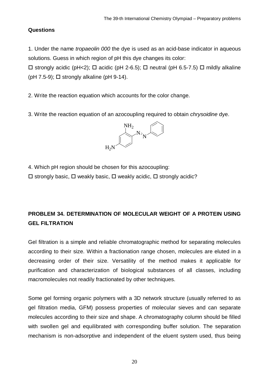# **Questions**

1. Under the name *tropaeolin 000* the dye is used as an acid-base indicator in aqueous solutions. Guess in which region of pH this dye changes its color:

 $\Box$  strongly acidic (pH<2);  $\Box$  acidic (pH 2-6.5);  $\Box$  neutral (pH 6.5-7.5)  $\Box$  mildly alkaline ( $pH$  7.5-9);  $\Box$  strongly alkaline ( $pH$  9-14).

2. Write the reaction equation which accounts for the color change.

3. Write the reaction equation of an azocoupling required to obtain *chrysoidine* dye.



4. Which pH region should be chosen for this azocoupling:

 $\Box$  strongly basic,  $\Box$  weakly basic,  $\Box$  weakly acidic,  $\Box$  strongly acidic?

# <span id="page-19-0"></span>**PROBLEM 34. DETERMINATION OF MOLECULAR WEIGHT OF A PROTEIN USING GEL FILTRATION**

Gel filtration is a simple and reliable chromatographic method for separating molecules according to their size. Within a fractionation range chosen, molecules are eluted in a decreasing order of their size. Versatility of the method makes it applicable for purification and characterization of biological substances of all classes, including macromolecules not readily fractionated by other techniques.

Some gel forming organic polymers with a 3D network structure (usually referred to as gel filtration media, GFM) possess properties of molecular sieves and can separate molecules according to their size and shape. A chromatography column should be filled with swollen gel and equilibrated with corresponding buffer solution. The separation mechanism is non-adsorptive and independent of the eluent system used, thus being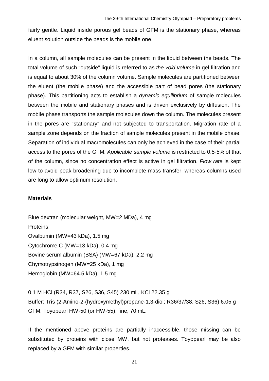fairly gentle. Liquid inside porous gel beads of GFM is the stationary phase, whereas eluent solution outside the beads is the mobile one.

In a column, all sample molecules can be present in the liquid between the beads. The total volume of such "outside" liquid is referred to as *the void volume* in gel filtration and is equal to about 30% of the column volume. Sample molecules are partitioned between the eluent (the mobile phase) and the accessible part of bead pores (the stationary phase). This partitioning acts to establish a *dynamic equilibrium* of sample molecules between the mobile and stationary phases and is driven exclusively by diffusion. The mobile phase transports the sample molecules down the column. The molecules present in the pores are "stationary" and not subjected to transportation. Migration rate of a sample zone depends on the fraction of sample molecules present in the mobile phase. Separation of individual macromolecules can only be achieved in the case of their partial access to the pores of the GFM. *Applicable sample volume* is restricted to 0.5-5% of that of the column, since no concentration effect is active in gel filtration. *Flow rate* is kept low to avoid peak broadening due to incomplete mass transfer, whereas columns used are long to allow optimum resolution.

# **Materials**

Blue dextran (molecular weight, MW=2 MDa), 4 mg Proteins: Ovalbumin (MW=43 kDa), 1.5 mg Cytochrome C (MW=13 kDa), 0.4 mg Bovine serum albumin (BSA) (MW=67 kDa), 2.2 mg Chymotrypsinogen (MW=25 kDa), 1 mg Hemoglobin (MW=64.5 kDa), 1.5 mg

0.1 M HCl (R34, R37, S26, S36, S45) 230 mL, KCl 22.35 g Buffer: Tris (2-Amino-2-(hydroxymethyl)propane-1,3-diol; R36/37/38, S26, S36) 6.05 g GFM: Toyopearl HW-50 (or HW-55), fine, 70 mL.

If the mentioned above proteins are partially inaccessible, those missing can be substituted by proteins with close MW, but not proteases. Toyopearl may be also replaced by a GFM with similar properties.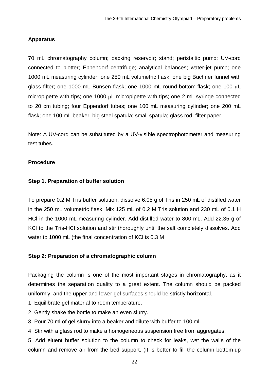# **Apparatus**

70 mL chromatography column; packing reservoir; stand; peristaltic pump; UV-cord connected to plotter; Eppendorf centrifuge; analytical balances; water-jet pump; one 1000 mL measuring cylinder; one 250 mL volumetric flask; one big Buchner funnel with glass filter; one 1000 mL Bunsen flask; one 1000 mL round-bottom flask; one 100 µL micropipette with tips; one 1000  $\mu$ L micropipette with tips; one 2 mL syringe connected to 20 cm tubing; four Eppendorf tubes; one 100 mL measuring cylinder; one 200 mL flask; one 100 mL beaker; big steel spatula; small spatula; glass rod; filter paper.

Note: A UV-cord can be substituted by a UV-visible spectrophotometer and measuring test tubes.

# **Procedure**

# **Step 1. Preparation of buffer solution**

To prepare 0.2 M Tris buffer solution, dissolve 6.05 g of Tris in 250 mL of distilled water in the 250 mL volumetric flask. Mix 125 mL of 0.2 M Tris solution and 230 mL of 0.1 H HCl in the 1000 mL measuring cylinder. Add distilled water to 800 mL. Add 22.35 g of KCl to the Tris-HCl solution and stir thoroughly until the salt completely dissolves. Add water to 1000 mL (the final concentration of KCl is 0.3 M

# **Step 2: Preparation of a chromatographic column**

Packaging the column is one of the most important stages in chromatography, as it determines the separation quality to a great extent. The column should be packed uniformly, and the upper and lower gel surfaces should be strictly horizontal.

- 1. Equilibrate gel material to room temperature.
- 2. Gently shake the bottle to make an even slurry.
- 3. Pour 70 ml of gel slurry into a beaker and dilute with buffer to 100 ml.
- 4. Stir with a glass rod to make a homogeneous suspension free from aggregates.

5. Add eluent buffer solution to the column to check for leaks, wet the walls of the column and remove air from the bed support. (It is better to fill the column bottom-up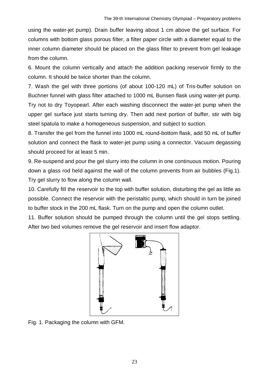using the water-jet pump). Drain buffer leaving about 1 cm above the gel surface. For columns with bottom glass porous filter, a filter paper circle with a diameter equal to the inner column diameter should be placed on the glass filter to prevent from gel leakage from the column.

6. Mount the column vertically and attach the addition packing reservoir firmly to the column. It should be twice shorter than the column.

7. Wash the gel with three portions (of about 100-120 mL) of Tris-buffer solution on Buchner funnel with glass filter attached to 1000 mL Bunsen flask using water-jet pump. Try not to dry Toyopearl. After each washing disconnect the water-jet pump when the upper gel surface just starts turning dry. Then add next portion of buffer, stir with big steel spatula to make a homogeneous suspension, and subject to suction.

8. Transfer the gel from the funnel into 1000 mL round-bottom flask, add 50 mL of buffer solution and connect the flask to water-jet pump using a connector. Vacuum degassing should proceed for at least 5 min.

9. Re-suspend and pour the gel slurry into the column in one continuous motion. Pouring down a glass rod held against the wall of the column prevents from air bubbles (Fig.1). Try gel slurry to flow along the column wall.

10. Carefully fill the reservoir to the top with buffer solution, disturbing the gel as little as possible. Connect the reservoir with the peristaltic pump, which should in turn be joined to buffer stock in the 200 mL flask. Turn on the pump and open the column outlet.

11. Buffer solution should be pumped through the column until the gel stops settling. After two bed volumes remove the gel reservoir and insert flow adaptor.



Fig. 1. Packaging the column with GFM.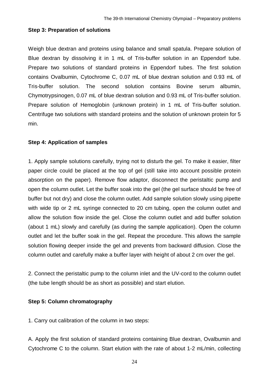# **Step 3: Preparation of solutions**

Weigh blue dextran and proteins using balance and small spatula. Prepare solution of Blue dextran by dissolving it in 1 mL of Tris-buffer solution in an Eppendorf tube. Prepare two solutions of standard proteins in Eppendorf tubes. The first solution contains Ovalbumin, Cytochrome C, 0.07 mL of blue dextran solution and 0.93 mL of Tris-buffer solution. The second solution contains Bovine serum albumin, Chymotrypsinogen, 0.07 mL of blue dextran solution and 0.93 mL of Tris-buffer solution. Prepare solution of Hemoglobin (unknown protein) in 1 mL of Tris-buffer solution. Centrifuge two solutions with standard proteins and the solution of unknown protein for 5 min.

# **Step 4: Application of samples**

1. Apply sample solutions carefully, trying not to disturb the gel. To make it easier, filter paper circle could be placed at the top of gel (still take into account possible protein absorption on the paper). Remove flow adaptor, disconnect the peristaltic pump and open the column outlet. Let the buffer soak into the gel (the gel surface should be free of buffer but not dry) and close the column outlet. Add sample solution slowly using pipette with wide tip or 2 mL syringe connected to 20 cm tubing, open the column outlet and allow the solution flow inside the gel. Close the column outlet and add buffer solution (about 1 mL) slowly and carefully (as during the sample application). Open the column outlet and let the buffer soak in the gel. Repeat the procedure. This allows the sample solution flowing deeper inside the gel and prevents from backward diffusion. Close the column outlet and carefully make a buffer layer with height of about 2 cm over the gel.

2. Connect the peristaltic pump to the column inlet and the UV-cord to the column outlet (the tube length should be as short as possible) and start elution.

# **Step 5: Column chromatography**

1. Carry out calibration of the column in two steps:

A. Apply the first solution of standard proteins containing Blue dextran, Ovalbumin and Cytochrome C to the column. Start elution with the rate of about 1-2 mL/min, collecting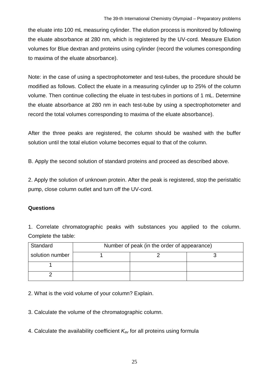the eluate into 100 mL measuring cylinder. The elution process is monitored by following the eluate absorbance at 280 nm, which is registered by the UV-cord. Measure Elution volumes for Blue dextran and proteins using cylinder (record the volumes corresponding to maxima of the eluate absorbance).

Note: in the case of using a spectrophotometer and test-tubes, the procedure should be modified as follows. Collect the eluate in a measuring cylinder up to 25% of the column volume. Then continue collecting the eluate in test-tubes in portions of 1 mL. Determine the eluate absorbance at 280 nm in each test-tube by using a spectrophotometer and record the total volumes corresponding to maxima of the eluate absorbance).

After the three peaks are registered, the column should be washed with the buffer solution until the total elution volume becomes equal to that of the column.

B. Apply the second solution of standard proteins and proceed as described above.

2. Apply the solution of unknown protein. After the peak is registered, stop the peristaltic pump, close column outlet and turn off the UV-cord.

# **Questions**

1. Correlate chromatographic peaks with substances you applied to the column. Complete the table:

| Standard        | Number of peak (in the order of appearance) |  |  |  |
|-----------------|---------------------------------------------|--|--|--|
| solution number |                                             |  |  |  |
|                 |                                             |  |  |  |
|                 |                                             |  |  |  |

2. What is the void volume of your column? Explain.

3. Calculate the volume of the chromatographic column.

4. Calculate the availability coefficient *Kav* for all proteins using formula